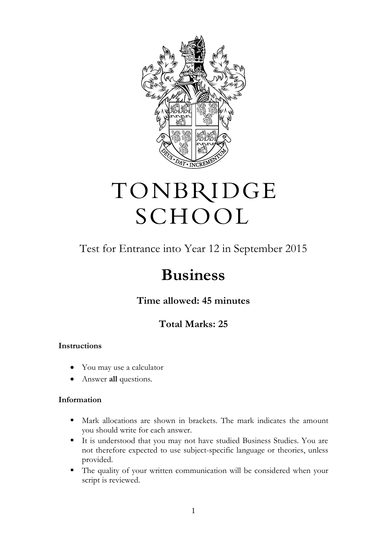

# TONBRIDGE SCHOOL

## Test for Entrance into Year 12 in September 2015

# **Business**

**Time allowed: 45 minutes**

### **Total Marks: 25**

#### **Instructions**

- You may use a calculator
- Answer **all** questions.

#### **Information**

- Mark allocations are shown in brackets. The mark indicates the amount you should write for each answer.
- It is understood that you may not have studied Business Studies. You are not therefore expected to use subject-specific language or theories, unless provided.
- The quality of your written communication will be considered when your script is reviewed.